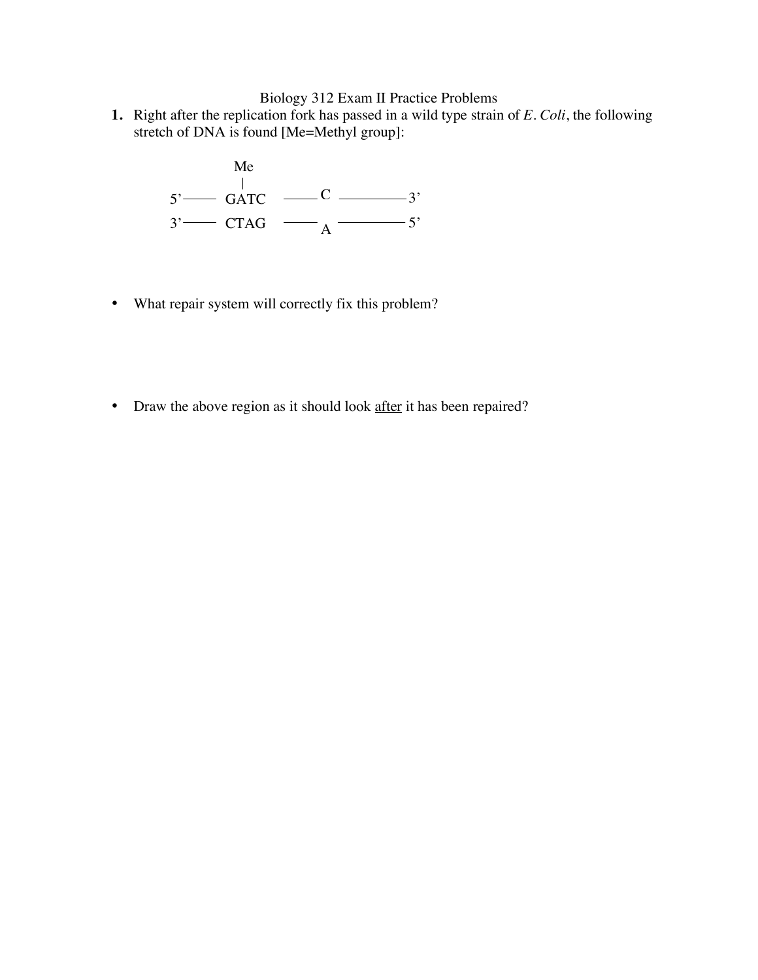Biology 312 Exam II Practice Problems

**1.** Right after the replication fork has passed in a wild type strain of *E. Coli*, the following stretch of DNA is found [Me=Methyl group]:



- What repair system will correctly fix this problem?
- Draw the above region as it should look after it has been repaired?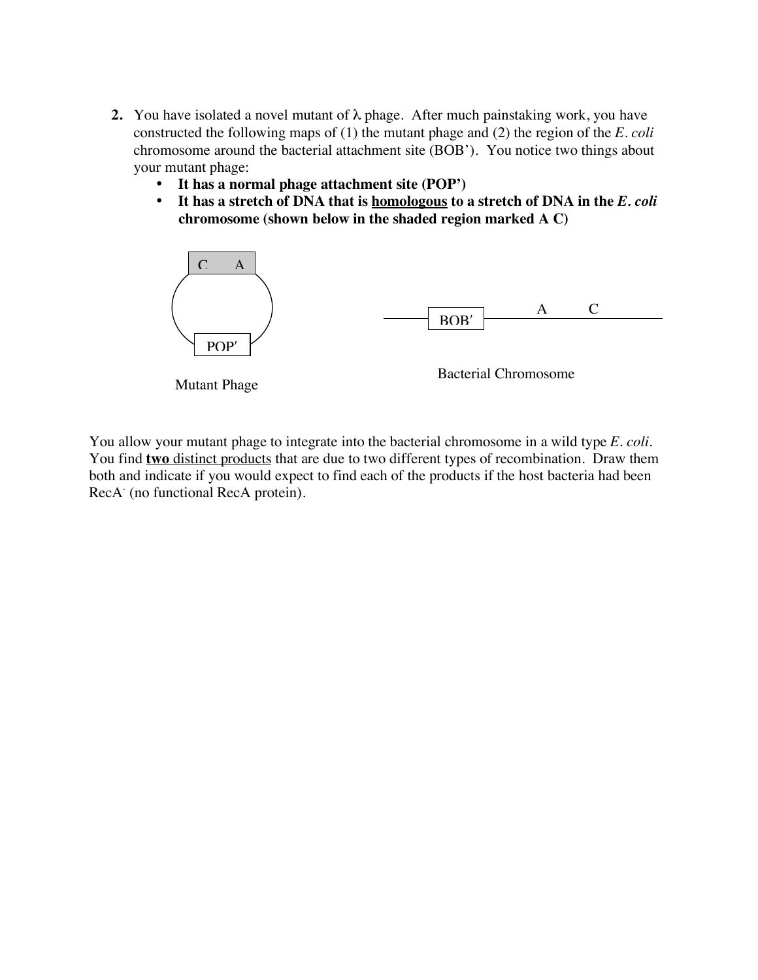- **2.** You have isolated a novel mutant of  $\lambda$  phage. After much painstaking work, you have constructed the following maps of (1) the mutant phage and (2) the region of the *E. coli* chromosome around the bacterial attachment site (BOB'). You notice two things about your mutant phage:
	- **It has a normal phage attachment site (POP')**
	- **It has a stretch of DNA that is homologous to a stretch of DNA in the** *E. coli* **chromosome (shown below in the shaded region marked A C)**



You allow your mutant phage to integrate into the bacterial chromosome in a wild type *E. coli*. You find **two** distinct products that are due to two different types of recombination. Draw them both and indicate if you would expect to find each of the products if the host bacteria had been RecA (no functional RecA protein).